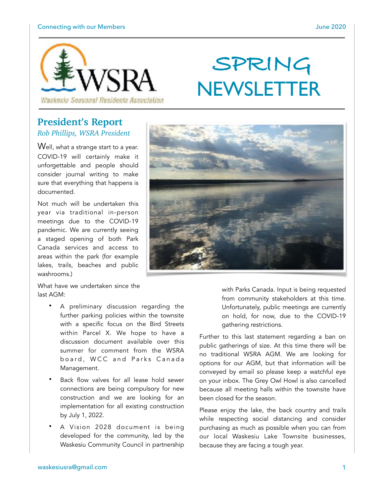

# **SPRING NEWSLETTER**

**President's Report** *Rob Phillips, WSRA President* 

Well, what a strange start to a year. COVID-19 will certainly make it unforgettable and people should consider journal writing to make sure that everything that happens is documented.

Not much will be undertaken this year via traditional in-person meetings due to the COVID-19 pandemic. We are currently seeing a staged opening of both Park Canada services and access to areas within the park (for example lakes, trails, beaches and public washrooms.)

What have we undertaken since the last AGM:

- A preliminary discussion regarding the further parking policies within the townsite with a specific focus on the Bird Streets within Parcel X. We hope to have a discussion document available over this summer for comment from the WSRA board, WCC and Parks Canada Management.
- Back flow valves for all lease hold sewer connections are being compulsory for new construction and we are looking for an implementation for all existing construction by July 1, 2022.
- A Vision 2028 document is being developed for the community, led by the Waskesiu Community Council in partnership

with Parks Canada. Input is being requested from community stakeholders at this time. Unfortunately, public meetings are currently on hold, for now, due to the COVID-19 gathering restrictions.

Further to this last statement regarding a ban on public gatherings of size. At this time there will be no traditional WSRA AGM. We are looking for options for our AGM, but that information will be conveyed by email so please keep a watchful eye on your inbox. The Grey Owl Howl is also cancelled because all meeting halls within the townsite have been closed for the season.

Please enjoy the lake, the back country and trails while respecting social distancing and consider purchasing as much as possible when you can from our local Waskesiu Lake Townsite businesses, because they are facing a tough year.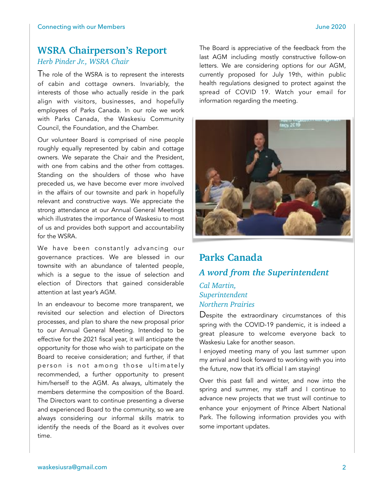# **WSRA Chairperson's Report**  *Herb Pinder Jr., WSRA Chair*

The role of the WSRA is to represent the interests of cabin and cottage owners. Invariably, the interests of those who actually reside in the park align with visitors, businesses, and hopefully employees of Parks Canada. In our role we work with Parks Canada, the Waskesiu Community Council, the Foundation, and the Chamber.

Our volunteer Board is comprised of nine people roughly equally represented by cabin and cottage owners. We separate the Chair and the President, with one from cabins and the other from cottages. Standing on the shoulders of those who have preceded us, we have become ever more involved in the affairs of our townsite and park in hopefully relevant and constructive ways. We appreciate the strong attendance at our Annual General Meetings which illustrates the importance of Waskesiu to most of us and provides both support and accountability for the WSRA.

We have been constantly advancing our governance practices. We are blessed in our townsite with an abundance of talented people, which is a segue to the issue of selection and election of Directors that gained considerable attention at last year's AGM.

In an endeavour to become more transparent, we revisited our selection and election of Directors processes, and plan to share the new proposal prior to our Annual General Meeting. Intended to be effective for the 2021 fiscal year, it will anticipate the opportunity for those who wish to participate on the Board to receive consideration; and further, if that person is not among those ultimately recommended, a further opportunity to present him/herself to the AGM. As always, ultimately the members determine the composition of the Board. The Directors want to continue presenting a diverse and experienced Board to the community, so we are always considering our informal skills matrix to identify the needs of the Board as it evolves over time.

The Board is appreciative of the feedback from the last AGM including mostly constructive follow-on letters. We are considering options for our AGM, currently proposed for July 19th, within public health regulations designed to protect against the spread of COVID 19. Watch your email for information regarding the meeting.



# **Parks Canada**  *A word from the Superintendent Cal Martin,*

# *Superintendent Northern Prairies*

Despite the extraordinary circumstances of this spring with the COVID-19 pandemic, it is indeed a great pleasure to welcome everyone back to Waskesiu Lake for another season.

I enjoyed meeting many of you last summer upon my arrival and look forward to working with you into the future, now that it's official I am staying!

Over this past fall and winter, and now into the spring and summer, my staff and I continue to advance new projects that we trust will continue to enhance your enjoyment of Prince Albert National Park. The following information provides you with some important updates.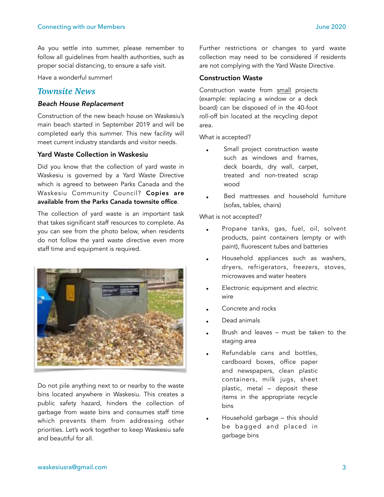As you settle into summer, please remember to follow all guidelines from health authorities, such as proper social distancing, to ensure a safe visit.

Have a wonderful summer!

## *Townsite News*

#### *Beach House Replacement*

Construction of the new beach house on Waskesiu's main beach started in September 2019 and will be completed early this summer. This new facility will meet current industry standards and visitor needs.

#### Yard Waste Collection in Waskesiu

Did you know that the collection of yard waste in Waskesiu is governed by a Yard Waste Directive which is agreed to between Parks Canada and the Waskesiu Community Council? Copies are available from the Parks Canada townsite office.

The collection of yard waste is an important task that takes significant staff resources to complete. As you can see from the photo below, when residents do not follow the yard waste directive even more staff time and equipment is required.



Do not pile anything next to or nearby to the waste bins located anywhere in Waskesiu. This creates a public safety hazard, hinders the collection of garbage from waste bins and consumes staff time which prevents them from addressing other priorities. Let's work together to keep Waskesiu safe and beautiful for all.

Further restrictions or changes to yard waste collection may need to be considered if residents are not complying with the Yard Waste Directive.

#### Construction Waste

Construction waste from small projects (example: replacing a window or a deck board) can be disposed of in the 40-foot roll-off bin located at the recycling depot area.

What is accepted?

- Small project construction waste such as windows and frames, deck boards, dry wall, carpet, treated and non-treated scrap wood
- Bed mattresses and household furniture (sofas, tables, chairs)

What is not accepted?

- Propane tanks, gas, fuel, oil, solvent products, paint containers (empty or with paint), fluorescent tubes and batteries
- Household appliances such as washers, dryers, refrigerators, freezers, stoves, microwaves and water heaters
- Electronic equipment and electric wire
- Concrete and rocks
- Dead animals
- Brush and leaves must be taken to the staging area
- Refundable cans and bottles, cardboard boxes, office paper and newspapers, clean plastic containers, milk jugs, sheet plastic, metal – deposit these items in the appropriate recycle bins
- Household garbage this should be bagged and placed in garbage bins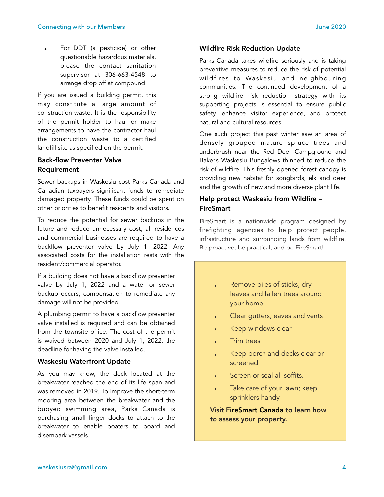For DDT (a pesticide) or other questionable hazardous materials, please the contact sanitation supervisor at 306-663-4548 to arrange drop off at compound

If you are issued a building permit, this may constitute a large amount of construction waste. It is the responsibility of the permit holder to haul or make arrangements to have the contractor haul the construction waste to a certified landfill site as specified on the permit.

#### Back-flow Preventer Valve Requirement

Sewer backups in Waskesiu cost Parks Canada and Canadian taxpayers significant funds to remediate damaged property. These funds could be spent on other priorities to benefit residents and visitors.

To reduce the potential for sewer backups in the future and reduce unnecessary cost, all residences and commercial businesses are required to have a backflow preventer valve by July 1, 2022. Any associated costs for the installation rests with the resident/commercial operator.

If a building does not have a backflow preventer valve by July 1, 2022 and a water or sewer backup occurs, compensation to remediate any damage will not be provided.

A plumbing permit to have a backflow preventer valve installed is required and can be obtained from the townsite office. The cost of the permit is waived between 2020 and July 1, 2022, the deadline for having the valve installed.

#### Waskesiu Waterfront Update

As you may know, the dock located at the breakwater reached the end of its life span and was removed in 2019. To improve the short-term mooring area between the breakwater and the buoyed swimming area, Parks Canada is purchasing small finger docks to attach to the breakwater to enable boaters to board and disembark vessels.

#### Wildfire Risk Reduction Update

Parks Canada takes wildfire seriously and is taking preventive measures to reduce the risk of potential wildfires to Waskesiu and neighbouring communities. The continued development of a strong wildfire risk reduction strategy with its supporting projects is essential to ensure public safety, enhance visitor experience, and protect natural and cultural resources.

One such project this past winter saw an area of densely grouped mature spruce trees and underbrush near the Red Deer Campground and Baker's Waskesiu Bungalows thinned to reduce the risk of wildfire. This freshly opened forest canopy is providing new habitat for songbirds, elk and deer and the growth of new and more diverse plant life.

### Help protect Waskesiu from Wildfire – **FireSmart**

FireSmart is a nationwide program designed by firefighting agencies to help protect people, infrastructure and surrounding lands from wildfire. Be proactive, be practical, and be FireSmart!

- Remove piles of sticks, dry leaves and fallen trees around your home
- Clear gutters, eaves and vents
- Keep windows clear
- Trim trees
- Keep porch and decks clear or screened
- Screen or seal all soffits.
- Take care of your lawn; keep sprinklers handy

Visit FireSmart Canada to learn how to assess your property.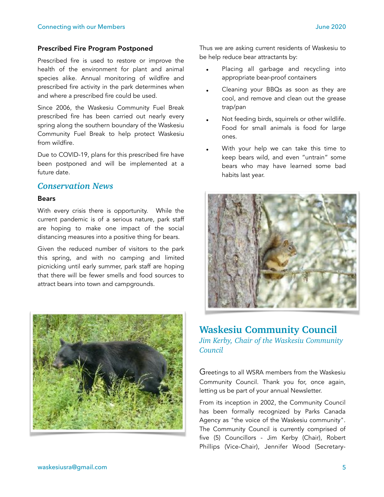#### Prescribed Fire Program Postponed

Prescribed fire is used to restore or improve the health of the environment for plant and animal species alike. Annual monitoring of wildfire and prescribed fire activity in the park determines when and where a prescribed fire could be used.

Since 2006, the Waskesiu Community Fuel Break prescribed fire has been carried out nearly every spring along the southern boundary of the Waskesiu Community Fuel Break to help protect Waskesiu from wildfire.

Due to COVID-19, plans for this prescribed fire have been postponed and will be implemented at a future date.

## *Conservation News*

#### Bears

With every crisis there is opportunity. While the current pandemic is of a serious nature, park staff are hoping to make one impact of the social distancing measures into a positive thing for bears.

Given the reduced number of visitors to the park this spring, and with no camping and limited picnicking until early summer, park staff are hoping that there will be fewer smells and food sources to attract bears into town and campgrounds.



Thus we are asking current residents of Waskesiu to be help reduce bear attractants by:

- Placing all garbage and recycling into appropriate bear-proof containers
- Cleaning your BBQs as soon as they are cool, and remove and clean out the grease trap/pan
- Not feeding birds, squirrels or other wildlife. Food for small animals is food for large ones.
- With your help we can take this time to keep bears wild, and even "untrain" some bears who may have learned some bad habits last year.



## **Waskesiu Community Council**

*Jim Kerby, Chair of the Waskesiu Community Council* 

Greetings to all WSRA members from the Waskesiu Community Council. Thank you for, once again, letting us be part of your annual Newsletter.

From its inception in 2002, the Community Council has been formally recognized by Parks Canada Agency as "the voice of the Waskesiu community". The Community Council is currently comprised of five (5) Councillors - Jim Kerby (Chair), Robert Phillips (Vice-Chair), Jennifer Wood (Secretary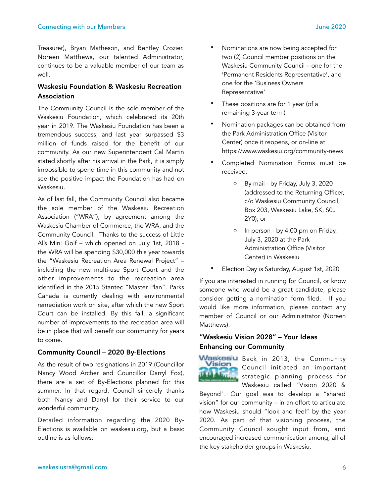Treasurer), Bryan Matheson, and Bentley Crozier. Noreen Matthews, our talented Administrator, continues to be a valuable member of our team as well.

## Waskesiu Foundation & Waskesiu Recreation Association

The Community Council is the sole member of the Waskesiu Foundation, which celebrated its 20th year in 2019. The Waskesiu Foundation has been a tremendous success, and last year surpassed \$3 million of funds raised for the benefit of our community. As our new Superintendent Cal Martin stated shortly after his arrival in the Park, it is simply impossible to spend time in this community and not see the positive impact the Foundation has had on Waskesiu.

As of last fall, the Community Council also became the sole member of the Waskesiu Recreation Association ("WRA"), by agreement among the Waskesiu Chamber of Commerce, the WRA, and the Community Council. Thanks to the success of Little Al's Mini Golf – which opened on July 1st, 2018 the WRA will be spending \$30,000 this year towards the "Waskesiu Recreation Area Renewal Project" – including the new multi-use Sport Court and the other improvements to the recreation area identified in the 2015 Stantec "Master Plan". Parks Canada is currently dealing with environmental remediation work on site, after which the new Sport Court can be installed. By this fall, a significant number of improvements to the recreation area will be in place that will benefit our community for years to come.

#### Community Council – 2020 By-Elections

As the result of two resignations in 2019 (Councillor Nancy Wood Archer and Councillor Darryl Fox), there are a set of By-Elections planned for this summer. In that regard, Council sincerely thanks both Nancy and Darryl for their service to our wonderful community.

Detailed information regarding the 2020 By-Elections is available on [waskesiu.org,](http://waskesiu.org/) but a basic outline is as follows:

- Nominations are now being accepted for two (2) Council member positions on the Waskesiu Community Council – one for the 'Permanent Residents Representative', and one for the 'Business Owners Representative'
- These positions are for 1 year (of a remaining 3-year term)
- Nomination packages can be obtained from the Park Administration Office (Visitor Center) once it reopens, or on-line at <https://www.waskesiu.org/community-news>
- Completed Nomination Forms must be received:
	- o By mail by Friday, July 3, 2020 (addressed to the Returning Officer, c/o Waskesiu Community Council, Box 203, Waskesiu Lake, SK, S0J 2Y0); or
	- o In person by 4:00 pm on Friday, July 3, 2020 at the Park Administration Office (Visitor Center) in Waskesiu
	- Election Day is Saturday, August 1st, 2020

If you are interested in running for Council, or know someone who would be a great candidate, please consider getting a nomination form filed. If you would like more information, please contact any member of Council or our Administrator (Noreen Matthews).

## "Waskesiu Vision 2028" – Your Ideas Enhancing our Community



Waskesiu Back in 2013, the Community Council initiated an important strategic planning process for Waskesiu called "Vision 2020 &

Beyond". Our goal was to develop a "shared vision" for our community – in an effort to articulate how Waskesiu should "look and feel" by the year 2020. As part of that visioning process, the Community Council sought input from, and encouraged increased communication among, all of the key stakeholder groups in Waskesiu.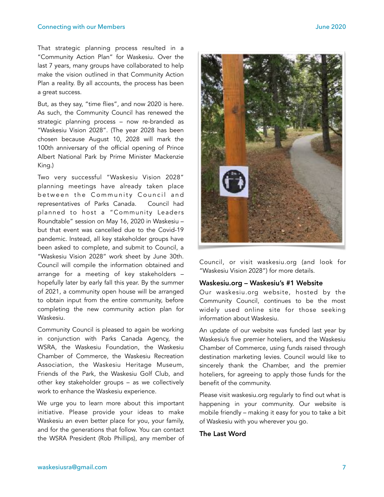That strategic planning process resulted in a "Community Action Plan" for Waskesiu. Over the last 7 years, many groups have collaborated to help make the vision outlined in that Community Action Plan a reality. By all accounts, the process has been a great success.

But, as they say, "time flies", and now 2020 is here. As such, the Community Council has renewed the strategic planning process – now re-branded as "Waskesiu Vision 2028". (The year 2028 has been chosen because August 10, 2028 will mark the 100th anniversary of the official opening of Prince Albert National Park by Prime Minister Mackenzie King.)

Two very successful "Waskesiu Vision 2028" planning meetings have already taken place between the Community Council and representatives of Parks Canada. Council had planned to host a "Community Leaders Roundtable" session on May 16, 2020 in Waskesiu – but that event was cancelled due to the Covid-19 pandemic. Instead, all key stakeholder groups have been asked to complete, and submit to Council, a "Waskesiu Vision 2028" work sheet by June 30th. Council will compile the information obtained and arrange for a meeting of key stakeholders – hopefully later by early fall this year. By the summer of 2021, a community open house will be arranged to obtain input from the entire community, before completing the new community action plan for Waskesiu.

Community Council is pleased to again be working in conjunction with Parks Canada Agency, the WSRA, the Waskesiu Foundation, the Waskesiu Chamber of Commerce, the Waskesiu Recreation Association, the Waskesiu Heritage Museum, Friends of the Park, the Waskesiu Golf Club, and other key stakeholder groups – as we collectively work to enhance the Waskesiu experience.

We urge you to learn more about this important initiative. Please provide your ideas to make Waskesiu an even better place for you, your family, and for the generations that follow. You can contact the WSRA President (Rob Phillips), any member of



Council, or visit [waskesiu.org](http://waskesiu.org/) (and look for "Waskesiu Vision 2028") for more details.

#### Waskesiu.org – Waskesiu's #1 Website

Our [waskesiu.org](http://waskesiu.org/) website, hosted by the Community Council, continues to be the most widely used online site for those seeking information about Waskesiu.

An update of our website was funded last year by Waskesiu's five premier hoteliers, and the Waskesiu Chamber of Commerce, using funds raised through destination marketing levies. Council would like to sincerely thank the Chamber, and the premier hoteliers, for agreeing to apply those funds for the benefit of the community.

Please visit [waskesiu.org](http://waskesiu.org/) regularly to find out what is happening in your community. Our website is mobile friendly – making it easy for you to take a bit of Waskesiu with you wherever you go.

#### The Last Word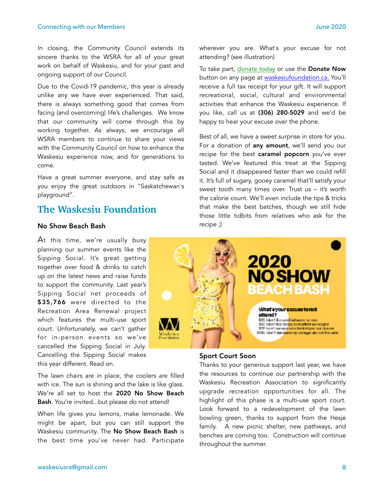#### Connecting with our Members June 2020

In closing, the Community Council extends its sincere thanks to the WSRA for all of your great work on behalf of Waskesiu, and for your past and ongoing support of our Council.

Due to the Covid-19 pandemic, this year is already unlike any we have ever experienced. That said, there is always something good that comes from facing (and overcoming) life's challenges. We know that our community will come through this by working together. As always, we encourage all WSRA members to continue to share your views with the Community Council on how to enhance the Waskesiu experience now, and for generations to come.

Have a great summer everyone, and stay safe as you enjoy the great outdoors in "Saskatchewan's playground".

# **The Waskesiu Foundation**

#### No Show Beach Bash

At this time, we're usually busy planning our summer events like the Sipping Social. It's great getting together over food & drinks to catch up on the latest news and raise funds to support the community. Last year's Sipping Social net proceeds of \$35,766 were directed to the Recreation Area Renewal project which features the multi-use sport court. Unfortunately, we can't gather for in-person events so we've cancelled the Sipping Social in July. Cancelling the Sipping Social makes this year different. Read on.

The lawn chairs are in place, the coolers are filled with ice. The sun is shining and the lake is like glass. We're all set to host the 2020 No Show Beach Bash. You're invited...but please do not attend!

When life gives you lemons, make lemonade. We might be apart, but you can still support the Waskesiu community. The No Show Beach Bash is the best time you've never had. Participate wherever you are. What's your excuse for not attending? (see illustration)

To take part, [donate today](https://www.waskesiufoundation.ca/donate-now.html) or use the Donate Now button on any page at [waskesiufoundation.ca.](https://www.waskesiufoundation.ca/home.html) You'll receive a full tax receipt for your gift. It will support recreational, social, cultural and environmental activities that enhance the Waskesiu experience. If you like, call us at (306) 280-5029 and we'd be happy to hear your excuse over the phone.

Best of all, we have a sweet surprise in store for you. For a [donation](https://www.waskesiufoundation.ca/donate-now.html) of any amount, we'll send you our recipe for the best caramel popcorn you've ever tasted. We've featured this treat at the Sipping Social and it disappeared faster than we could refill it. It's full of sugary, gooey caramel that'll satisfy your sweet tooth many times over. Trust us – it's worth the calorie count. We'll even include the tips & tricks that make the best batches, though we still hide those little tidbits from relatives who ask for the recipe ;)



#### Sport Court Soon

Thanks to your generous support last year, we have the resources to continue our partnership with the Waskesiu Recreation Association to significantly upgrade recreation opportunities for all. The highlight of this phase is a multi-use sport court. Look forward to a redevelopment of the lawn bowling green, thanks to support from the Hesje family. A new picnic shelter, new pathways, and benches are coming too. Construction will continue throughout the summer.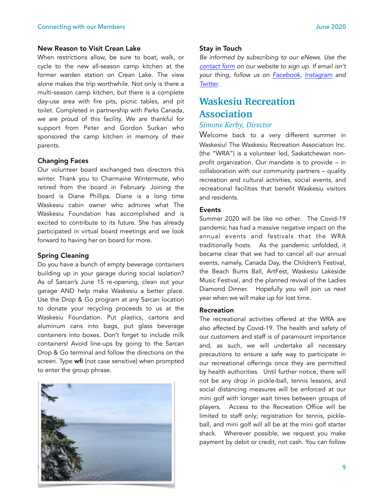When restrictions allow, be sure to boat, walk, or cycle to the new all-season camp kitchen at the former warden station on Crean Lake. The view alone makes the trip worthwhile. Not only is there a multi-season camp kitchen, but there is a complete day-use area with fire pits, picnic tables, and pit toilet. Completed in partnership with Parks Canada, we are proud of this facility. We are thankful for support from Peter and Gordon Surkan who sponsored the camp kitchen in memory of their parents.

#### Changing Faces

Our volunteer board exchanged two directors this winter. Thank you to Charmaine Wintermute, who retired from the board in February. Joining the board is Diane Phillips. Diane is a long time Waskesiu cabin owner who admires what The Waskesiu Foundation has accomplished and is excited to contribute to its future. She has already participated in virtual board meetings and we look forward to having her on board for more.

#### Spring Cleaning

Do you have a bunch of empty beverage containers building up in your garage during social isolation? As of Sarcan's June 15 re-opening, clean out your garage AND help make Waskesiu a better place. Use the Drop & Go program at any Sarcan location to donate your recycling proceeds to us at the Waskesiu Foundation. Put plastics, cartons and aluminum cans into bags, put glass beverage containers into boxes. Don't forget to include milk containers! Avoid line-ups by going to the Sarcan Drop & Go terminal and follow the directions on the screen. Type wfi (not case sensitive) when prompted to enter the group phrase.



#### Stay in Touch

*Be informed by subscribing to our eNews. Use the [contact form](https://www.waskesiufoundation.ca/contact.html) on our website to sign up. If email isn't your thing, follow us on [Facebook,](https://www.facebook.com/WaskesiuFoundation/) [Instagram](https://www.instagram.com/waskesiufoundation/) and [Twitter.](https://twitter.com/waskesiufound)* 

# **Waskesiu Recreation Association**

#### *Simone Kerby, Director*

Welcome back to a very different summer in Waskesiu! The Waskesiu Recreation Association Inc. (the "WRA") is a volunteer led, Saskatchewan nonprofit organization. Our mandate is to provide – in collaboration with our community partners – quality recreation and cultural activities, social events, and recreational facilities that benefit Waskesiu visitors and residents.

#### Events

Summer 2020 will be like no other. The Covid-19 pandemic has had a massive negative impact on the annual events and festivals that the WRA traditionally hosts. As the pandemic unfolded, it became clear that we had to cancel all our annual events, namely, Canada Day, the Children's Festival, the Beach Bums Ball, ArtFest, Waskesiu Lakeside Music Festival, and the planned revival of the Ladies Diamond Dinner. Hopefully you will join us next year when we will make up for lost time.

#### Recreation

The recreational activities offered at the WRA are also affected by Covid-19. The health and safety of our customers and staff is of paramount importance and, as such, we will undertake all necessary precautions to ensure a safe way to participate in our recreational offerings once they are permitted by health authorities. Until further notice, there will not be any drop in pickle-ball, tennis lessons, and social distancing measures will be enforced at our mini golf with longer wait times between groups of players. Access to the Recreation Office will be limited to staff only; registration for tennis, pickleball, and mini golf will all be at the mini golf starter shack. Wherever possible, we request you make payment by debit or credit, not cash. You can follow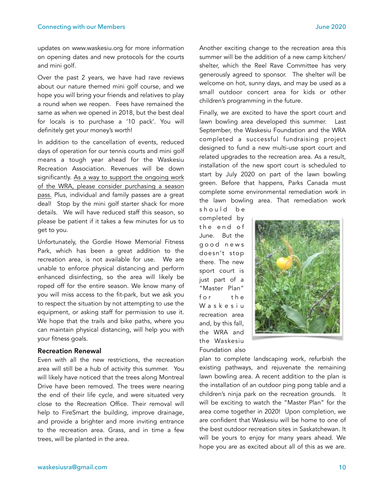updates on www.waskesiu.org for more information on opening dates and new protocols for the courts and mini golf.

Over the past 2 years, we have had rave reviews about our nature themed mini golf course, and we hope you will bring your friends and relatives to play a round when we reopen. Fees have remained the same as when we opened in 2018, but the best deal for locals is to purchase a '10 pack'. You will definitely get your money's worth!

In addition to the cancellation of events, reduced days of operation for our tennis courts and mini golf means a tough year ahead for the Waskesiu Recreation Association. Revenues will be down significantly. As a way to support the ongoing work of the WRA, please consider purchasing a season pass. Plus, individual and family passes are a great deal! Stop by the mini golf starter shack for more details. We will have reduced staff this season, so please be patient if it takes a few minutes for us to get to you.

Unfortunately, the Gordie Howe Memorial Fitness Park, which has been a great addition to the recreation area, is not available for use. We are unable to enforce physical distancing and perform enhanced disinfecting, so the area will likely be roped off for the entire season. We know many of you will miss access to the fit-park, but we ask you to respect the situation by not attempting to use the equipment, or asking staff for permission to use it. We hope that the trails and bike paths, where you can maintain physical distancing, will help you with your fitness goals.

#### Recreation Renewal

Even with all the new restrictions, the recreation area will still be a hub of activity this summer. You will likely have noticed that the trees along Montreal Drive have been removed. The trees were nearing the end of their life cycle, and were situated very close to the Recreation Office. Their removal will help to FireSmart the building, improve drainage, and provide a brighter and more inviting entrance to the recreation area. Grass, and in time a few trees, will be planted in the area.

children's programming in the future.

Finally, we are excited to have the sport court and lawn bowling area developed this summer. Last September, the Waskesiu Foundation and the WRA completed a successful fundraising project designed to fund a new multi-use sport court and related upgrades to the recreation area. As a result, installation of the new sport court is scheduled to start by July 2020 on part of the lawn bowling green. Before that happens, Parks Canada must complete some environmental remediation work in the lawn bowling area. That remediation work

should be completed by t h e e n d o f June. But the g o o d n e w s doesn't stop there. The new sport court is just part of a "Master Plan" for the W a s k e s i u recreation area and, by this fall, the WRA and the Waskesiu Foundation also



plan to complete landscaping work, refurbish the existing pathways, and rejuvenate the remaining lawn bowling area. A recent addition to the plan is the installation of an outdoor ping pong table and a children's ninja park on the recreation grounds. It will be exciting to watch the "Master Plan" for the area come together in 2020! Upon completion, we are confident that Waskesiu will be home to one of the best outdoor recreation sites in Saskatchewan. It will be yours to enjoy for many years ahead. We hope you are as excited about all of this as we are.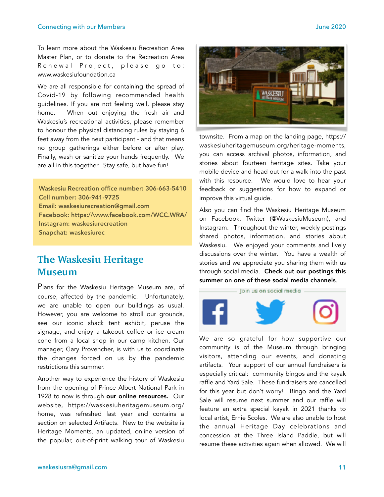To learn more about the Waskesiu Recreation Area Master Plan, or to donate to the Recreation Area Renewal Project, please go to: www.waskesiufoundation.ca

We are all responsible for containing the spread of Covid-19 by following recommended health guidelines. If you are not feeling well, please stay home. When out enjoying the fresh air and Waskesiu's recreational activities, please remember to honour the physical distancing rules by staying 6 feet away from the next participant - and that means no group gatherings either before or after play. Finally, wash or sanitize your hands frequently. We are all in this together. Stay safe, but have fun!

Waskesiu Recreation office number: 306-663-5410 Cell number: 306-941-9725 Email: waskesiurecreation@gmail.com Facebook: https://www.facebook.com/WCC.WRA/ Instagram: waskesiurecreation Snapchat: waskesiurec

# **The Waskesiu Heritage Museum**

Plans for the Waskesiu Heritage Museum are, of course, affected by the pandemic. Unfortunately, we are unable to open our buildings as usual. However, you are welcome to stroll our grounds, see our iconic shack tent exhibit, peruse the signage, and enjoy a takeout coffee or ice cream cone from a local shop in our camp kitchen. Our manager, Gary Provencher, is with us to coordinate the changes forced on us by the pandemic restrictions this summer.

Another way to experience the history of Waskesiu from the opening of Prince Albert National Park in 1928 to now is through our online resources. Our website, [https://waskesiuheritagemuseum.org/](https://waskesiuheritagemuseum.org/home) [home,](https://waskesiuheritagemuseum.org/home) was refreshed last year and contains a section on selected Artifacts. New to the website is Heritage Moments, an updated, online version of the popular, out-of-print walking tour of Waskesiu



[townsite. From a map on the landing page, https://](https://waskesiuheritagemuseum.org/heritage-moments) [waskesiuheritagemuseum.org/heritage-moments,](https://waskesiuheritagemuseum.org/heritage-moments) you can access archival photos, information, and stories about fourteen heritage sites. Take your mobile device and head out for a walk into the past with this resource. We would love to hear your feedback or suggestions for how to expand or improve this virtual guide.

Also you can find the Waskesiu Heritage Museum on Facebook, Twitter (@WaskesiuMuseum), and Instagram. Throughout the winter, weekly postings shared photos, information, and stories about Waskesiu. We enjoyed your comments and lively discussions over the winter. You have a wealth of stories and we appreciate you sharing them with us through social media. Check out our postings this summer on one of these social media channels.



We are so grateful for how supportive our community is of the Museum through bringing visitors, attending our events, and donating artifacts. Your support of our annual fundraisers is especially critical: community bingos and the kayak raffle and Yard Sale. These fundraisers are cancelled for this year but don't worry! Bingo and the Yard Sale will resume next summer and our raffle will feature an extra special kayak in 2021 thanks to local artist, Ernie Scoles. We are also unable to host the annual Heritage Day celebrations and concession at the Three Island Paddle, but will resume these activities again when allowed. We will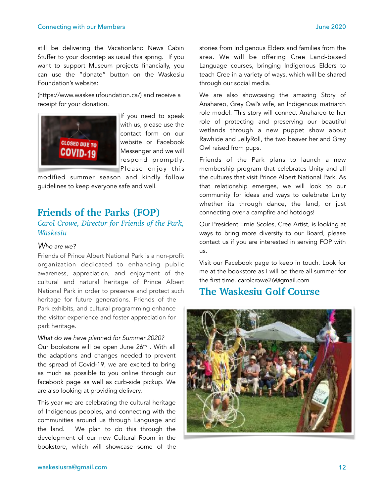#### **Connecting with our Members Connecting with our Members Connecting With Connecting With Connection Connection**

still be delivering the Vacationland News Cabin Stuffer to your doorstep as usual this spring. If you want to support Museum projects financially, you can use the "donate" button on the Waskesiu Foundation's website:

([https://www.waskesiufoundation.ca/\)](https://www.waskesiufoundation.ca/) and receive a receipt for your donation.



If you need to speak with us, please use the contact form on our website or Facebook Messenger and we will respond promptly. Please enjoy this

modified summer season and kindly follow guidelines to keep everyone safe and well.

## **Friends of the Parks (FOP)**

*Carol Crowe, Director for Friends of the Park, Waskesiu* 

#### *Who are we?*

Friends of Prince Albert National Park is a non-profit organization dedicated to enhancing public awareness, appreciation, and enjoyment of the cultural and natural heritage of Prince Albert National Park in order to preserve and protect such heritage for future generations. Friends of the Park exhibits, and cultural programming enhance the visitor experience and foster appreciation for park heritage.

*What do we have planned for Summer 2020?*  Our bookstore will be open June 26<sup>th</sup> . With all the adaptions and changes needed to prevent the spread of Covid-19, we are excited to bring as much as possible to you online through our facebook page as well as curb-side pickup. We are also looking at providing delivery.

This year we are celebrating the cultural heritage of Indigenous peoples, and connecting with the communities around us through Language and the land. We plan to do this through the development of our new Cultural Room in the bookstore, which will showcase some of the

stories from Indigenous Elders and families from the area. We will be offering Cree Land-based Language courses, bringing Indigenous Elders to teach Cree in a variety of ways, which will be shared through our social media.

We are also showcasing the amazing Story of Anahareo, Grey Owl's wife, an Indigenous matriarch role model. This story will connect Anahareo to her role of protecting and preserving our beautiful wetlands through a new puppet show about Rawhide and JellyRoll, the two beaver her and Grey Owl raised from pups.

Friends of the Park plans to launch a new membership program that celebrates Unity and all the cultures that visit Prince Albert National Park. As that relationship emerges, we will look to our community for ideas and ways to celebrate Unity whether its through dance, the land, or just connecting over a campfire and hotdogs!

Our President Ernie Scoles, Cree Artist, is looking at ways to bring more diversity to our Board, please contact us if you are interested in serving FOP with us.

Visit our Facebook page to keep in touch. Look for me at the bookstore as I will be there all summer for the first time. carolcrowe26@gmail.com

# **The Waskesiu Golf Course**

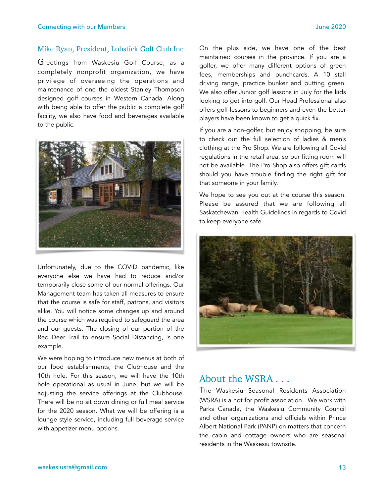#### Mike Ryan, President, Lobstick Golf Club Inc

Greetings from Waskesiu Golf Course, as a completely nonprofit organization, we have privilege of overseeing the operations and maintenance of one the oldest Stanley Thompson designed golf courses in Western Canada. Along with being able to offer the public a complete golf facility, we also have food and beverages available to the public.



Unfortunately, due to the COVID pandemic, like everyone else we have had to reduce and/or temporarily close some of our normal offerings. Our Management team has taken all measures to ensure that the course is safe for staff, patrons, and visitors alike. You will notice some changes up and around the course which was required to safeguard the area and our guests. The closing of our portion of the Red Deer Trail to ensure Social Distancing, is one example.

We were hoping to introduce new menus at both of our food establishments, the Clubhouse and the 10th hole. For this season, we will have the 10th hole operational as usual in June, but we will be adjusting the service offerings at the Clubhouse. There will be no sit down dining or full meal service for the 2020 season. What we will be offering is a lounge style service, including full beverage service with appetizer menu options.

On the plus side, we have one of the best maintained courses in the province. If you are a golfer, we offer many different options of green fees, memberships and punchcards. A 10 stall driving range, practice bunker and putting green. We also offer Junior golf lessons in July for the kids looking to get into golf. Our Head Professional also offers golf lessons to beginners and even the better players have been known to get a quick fix.

If you are a non-golfer, but enjoy shopping, be sure to check out the full selection of ladies & men's clothing at the Pro Shop. We are following all Covid regulations in the retail area, so our fitting room will not be available. The Pro Shop also offers gift cards should you have trouble finding the right gift for that someone in your family.

We hope to see you out at the course this season. Please be assured that we are following all Saskatchewan Health Guidelines in regards to Covid to keep everyone safe.



# About the WSRA . . .

The Waskesiu Seasonal Residents Association (WSRA) is a not for profit association. We work with Parks Canada, the Waskesiu Community Council and other organizations and officials within Prince Albert National Park (PANP) on matters that concern the cabin and cottage owners who are seasonal residents in the Waskesiu townsite.